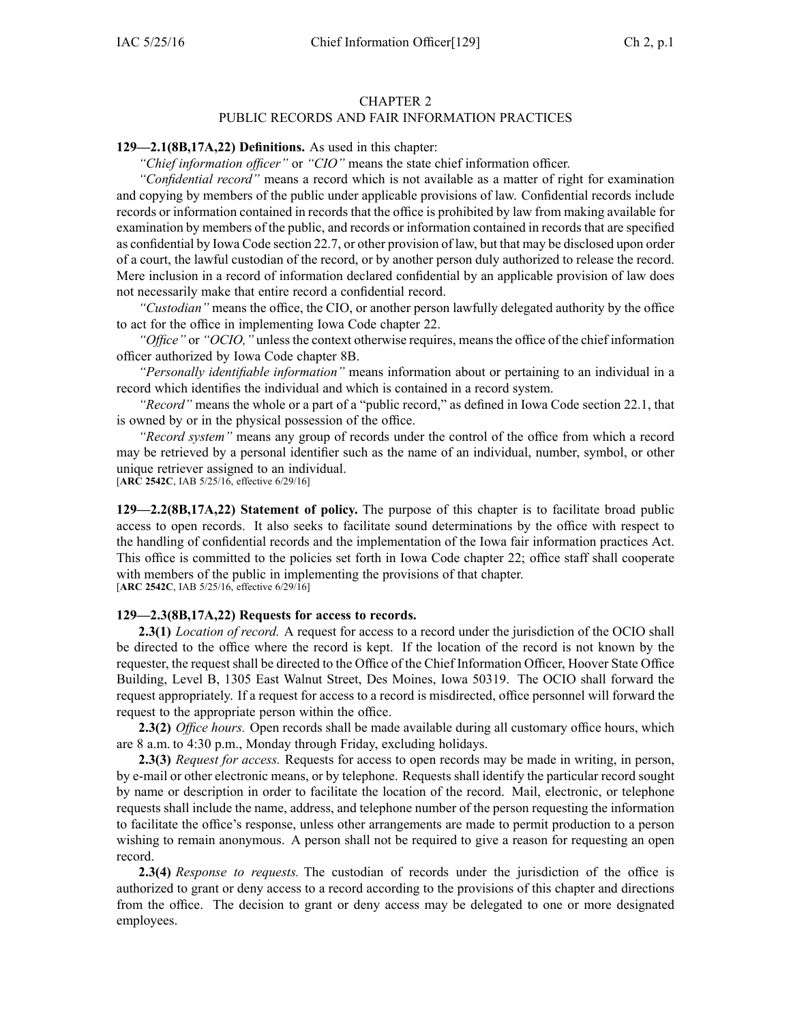#### CHAPTER 2 PUBLIC RECORDS AND FAIR INFORMATION PRACTICES

#### **129—2.1(8B,17A,22) Definitions.** As used in this chapter:

*"Chief information officer"* or *"CIO"* means the state chief information officer.

*"Confidential record"* means <sup>a</sup> record which is not available as <sup>a</sup> matter of right for examination and copying by members of the public under applicable provisions of law. Confidential records include records or information contained in records that the office is prohibited by law from making available for examination by members of the public, and records or information contained in records that are specified as confidential by Iowa Code section [22.7](https://www.legis.iowa.gov/docs/ico/section/22.7.pdf), or other provision of law, but that may be disclosed upon order of <sup>a</sup> court, the lawful custodian of the record, or by another person duly authorized to release the record. Mere inclusion in <sup>a</sup> record of information declared confidential by an applicable provision of law does not necessarily make that entire record <sup>a</sup> confidential record.

*"Custodian"* means the office, the CIO, or another person lawfully delegated authority by the office to act for the office in implementing Iowa Code chapter [22](https://www.legis.iowa.gov/docs/ico/chapter/22.pdf).

*"Office"* or *"OCIO,"* unless the context otherwise requires, means the office of the chief information officer authorized by Iowa Code chapter [8B](https://www.legis.iowa.gov/docs/ico/chapter/8B.pdf).

*"Personally identifiable information"* means information about or pertaining to an individual in <sup>a</sup> record which identifies the individual and which is contained in <sup>a</sup> record system.

*"Record"* means the whole or <sup>a</sup> par<sup>t</sup> of <sup>a</sup> "public record," as defined in Iowa Code section [22.1](https://www.legis.iowa.gov/docs/ico/section/22.1.pdf), that is owned by or in the physical possession of the office.

*"Record system"* means any group of records under the control of the office from which <sup>a</sup> record may be retrieved by <sup>a</sup> personal identifier such as the name of an individual, number, symbol, or other unique retriever assigned to an individual.

[**ARC 2542C**, IAB 5/25/16, effective 6/29/16]

**129—2.2(8B,17A,22) Statement of policy.** The purpose of this chapter is to facilitate broad public access to open records. It also seeks to facilitate sound determinations by the office with respec<sup>t</sup> to the handling of confidential records and the implementation of the Iowa fair information practices Act. This office is committed to the policies set forth in Iowa Code chapter [22](https://www.legis.iowa.gov/docs/ico/chapter/22.pdf); office staff shall cooperate with members of the public in implementing the provisions of that chapter. [**ARC 2542C**, IAB 5/25/16, effective 6/29/16]

# **129—2.3(8B,17A,22) Requests for access to records.**

**2.3(1)** *Location of record.* A reques<sup>t</sup> for access to <sup>a</sup> record under the jurisdiction of the OCIO shall be directed to the office where the record is kept. If the location of the record is not known by the requester, the reques<sup>t</sup> shall be directed to the Office of the Chief Information Officer, Hoover State Office Building, Level B, 1305 East Walnut Street, Des Moines, Iowa 50319. The OCIO shall forward the reques<sup>t</sup> appropriately. If <sup>a</sup> reques<sup>t</sup> for access to <sup>a</sup> record is misdirected, office personnel will forward the reques<sup>t</sup> to the appropriate person within the office.

**2.3(2)** *Office hours.* Open records shall be made available during all customary office hours, which are 8 a.m. to 4:30 p.m., Monday through Friday, excluding holidays.

**2.3(3)** *Request for access.* Requests for access to open records may be made in writing, in person, by e-mail or other electronic means, or by telephone. Requests shall identify the particular record sought by name or description in order to facilitate the location of the record. Mail, electronic, or telephone requests shall include the name, address, and telephone number of the person requesting the information to facilitate the office's response, unless other arrangements are made to permit production to <sup>a</sup> person wishing to remain anonymous. A person shall not be required to give <sup>a</sup> reason for requesting an open record.

**2.3(4)** *Response to requests.* The custodian of records under the jurisdiction of the office is authorized to gran<sup>t</sup> or deny access to <sup>a</sup> record according to the provisions of this chapter and directions from the office. The decision to gran<sup>t</sup> or deny access may be delegated to one or more designated employees.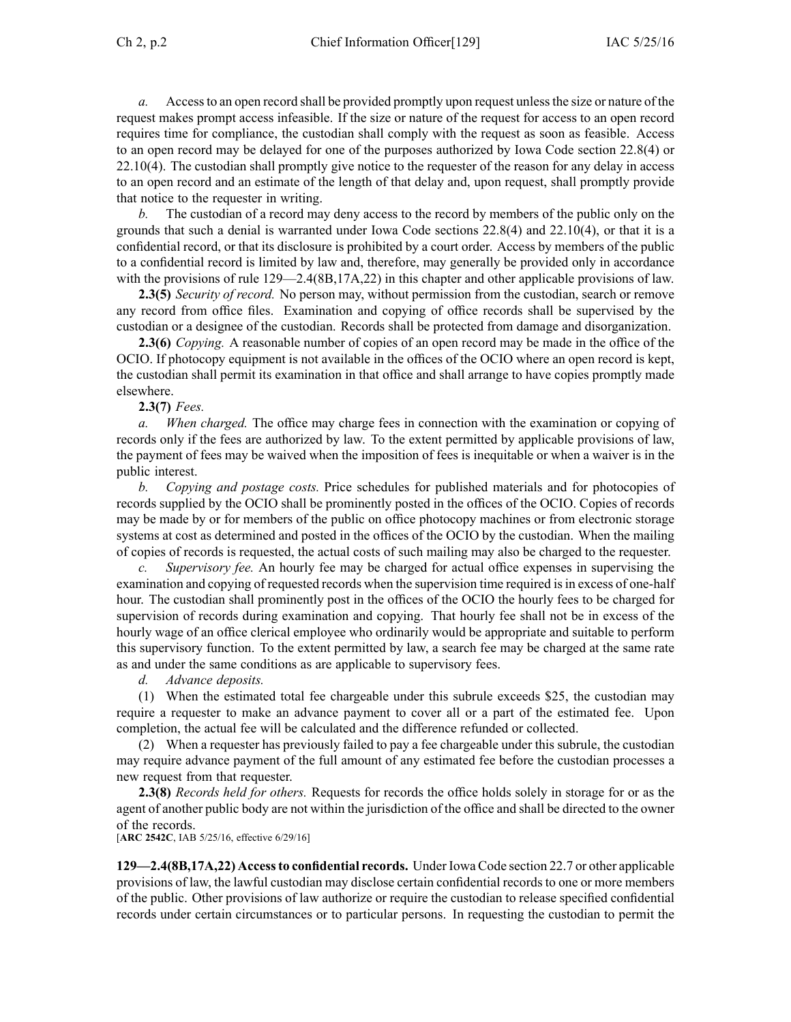*a.* Accessto an open record shall be provided promptly upon reques<sup>t</sup> unlessthe size or nature of the reques<sup>t</sup> makes promp<sup>t</sup> access infeasible. If the size or nature of the reques<sup>t</sup> for access to an open record requires time for compliance, the custodian shall comply with the reques<sup>t</sup> as soon as feasible. Access to an open record may be delayed for one of the purposes authorized by Iowa Code section [22.8\(4\)](https://www.legis.iowa.gov/docs/ico/section/22.8.pdf) or [22.10\(4\)](https://www.legis.iowa.gov/docs/ico/section/22.10.pdf). The custodian shall promptly give notice to the requester of the reason for any delay in access to an open record and an estimate of the length of that delay and, upon request, shall promptly provide that notice to the requester in writing.

The custodian of a record may deny access to the record by members of the public only on the grounds that such <sup>a</sup> denial is warranted under Iowa Code sections [22.8\(4\)](https://www.legis.iowa.gov/docs/ico/section/22.8.pdf) and [22.10\(4\)](https://www.legis.iowa.gov/docs/ico/section/22.10.pdf), or that it is <sup>a</sup> confidential record, or that its disclosure is prohibited by <sup>a</sup> court order. Access by members of the public to <sup>a</sup> confidential record is limited by law and, therefore, may generally be provided only in accordance with the provisions of rule 129—2.4(8B,17A,22) in this chapter and other applicable provisions of law.

**2.3(5)** *Security of record.* No person may, without permission from the custodian, search or remove any record from office files. Examination and copying of office records shall be supervised by the custodian or <sup>a</sup> designee of the custodian. Records shall be protected from damage and disorganization.

**2.3(6)** *Copying.* A reasonable number of copies of an open record may be made in the office of the OCIO. If photocopy equipment is not available in the offices of the OCIO where an open record is kept, the custodian shall permit its examination in that office and shall arrange to have copies promptly made elsewhere.

**2.3(7)** *Fees.*

*a. When charged.* The office may charge fees in connection with the examination or copying of records only if the fees are authorized by law. To the extent permitted by applicable provisions of law, the paymen<sup>t</sup> of fees may be waived when the imposition of fees is inequitable or when <sup>a</sup> waiver is in the public interest.

*b. Copying and postage costs.* Price schedules for published materials and for photocopies of records supplied by the OCIO shall be prominently posted in the offices of the OCIO. Copies of records may be made by or for members of the public on office photocopy machines or from electronic storage systems at cost as determined and posted in the offices of the OCIO by the custodian. When the mailing of copies of records is requested, the actual costs of such mailing may also be charged to the requester.

*c. Supervisory fee.* An hourly fee may be charged for actual office expenses in supervising the examination and copying of requested records when the supervision time required is in excess of one-half hour. The custodian shall prominently pos<sup>t</sup> in the offices of the OCIO the hourly fees to be charged for supervision of records during examination and copying. That hourly fee shall not be in excess of the hourly wage of an office clerical employee who ordinarily would be appropriate and suitable to perform this supervisory function. To the extent permitted by law, <sup>a</sup> search fee may be charged at the same rate as and under the same conditions as are applicable to supervisory fees.

*d. Advance deposits.*

(1) When the estimated total fee chargeable under this subrule exceeds \$25, the custodian may require <sup>a</sup> requester to make an advance paymen<sup>t</sup> to cover all or <sup>a</sup> par<sup>t</sup> of the estimated fee. Upon completion, the actual fee will be calculated and the difference refunded or collected.

(2) When <sup>a</sup> requester has previously failed to pay <sup>a</sup> fee chargeable under this subrule, the custodian may require advance paymen<sup>t</sup> of the full amount of any estimated fee before the custodian processes <sup>a</sup> new reques<sup>t</sup> from that requester.

**2.3(8)** *Records held for others.* Requests for records the office holds solely in storage for or as the agen<sup>t</sup> of another public body are not within the jurisdiction of the office and shall be directed to the owner of the records.

[**ARC 2542C**, IAB 5/25/16, effective 6/29/16]

**129—2.4(8B,17A,22) Accessto confidential records.** Under Iowa Code section [22.7](https://www.legis.iowa.gov/docs/ico/section/22.7.pdf) or other applicable provisions of law, the lawful custodian may disclose certain confidential records to one or more members of the public. Other provisions of law authorize or require the custodian to release specified confidential records under certain circumstances or to particular persons. In requesting the custodian to permit the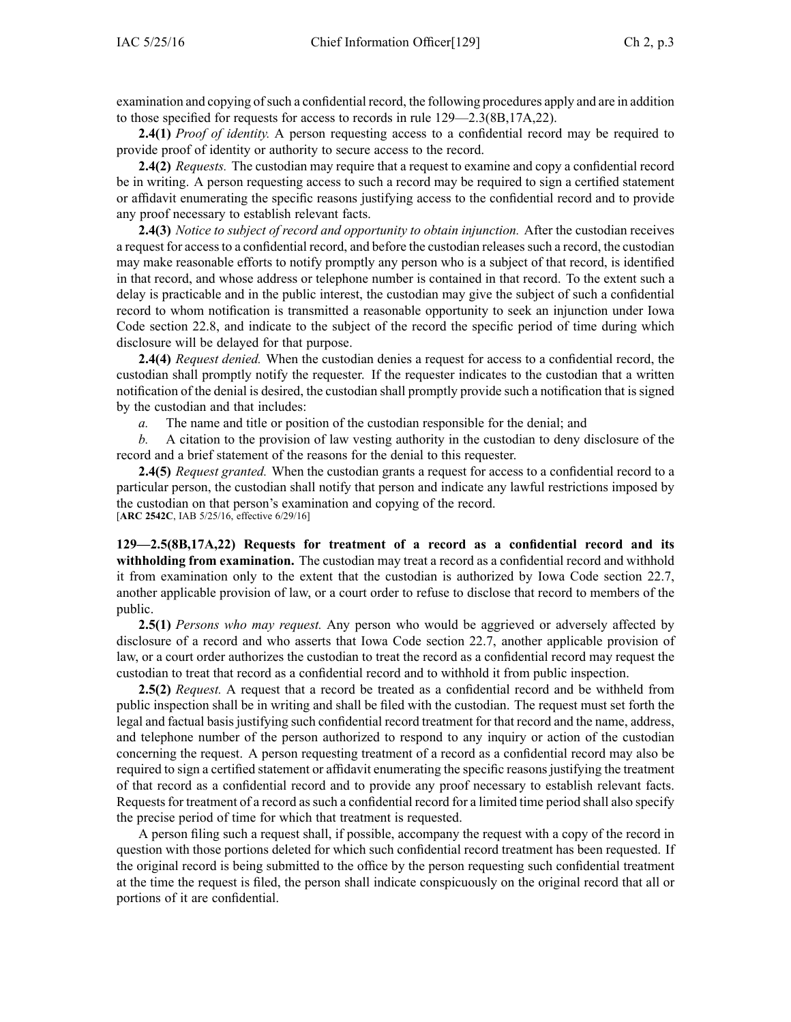examination and copying ofsuch <sup>a</sup> confidential record, the following procedures apply and are in addition to those specified for requests for access to records in rule 129—2.3(8B,17A,22).

**2.4(1)** *Proof of identity.* A person requesting access to <sup>a</sup> confidential record may be required to provide proof of identity or authority to secure access to the record.

**2.4(2)** *Requests.* The custodian may require that <sup>a</sup> reques<sup>t</sup> to examine and copy <sup>a</sup> confidential record be in writing. A person requesting access to such <sup>a</sup> record may be required to sign <sup>a</sup> certified statement or affidavit enumerating the specific reasons justifying access to the confidential record and to provide any proof necessary to establish relevant facts.

**2.4(3)** *Notice to subject of record and opportunity to obtain injunction.* After the custodian receives <sup>a</sup> reques<sup>t</sup> for accessto <sup>a</sup> confidential record, and before the custodian releasessuch <sup>a</sup> record, the custodian may make reasonable efforts to notify promptly any person who is <sup>a</sup> subject of that record, is identified in that record, and whose address or telephone number is contained in that record. To the extent such <sup>a</sup> delay is practicable and in the public interest, the custodian may give the subject of such <sup>a</sup> confidential record to whom notification is transmitted <sup>a</sup> reasonable opportunity to seek an injunction under Iowa Code section [22.8](https://www.legis.iowa.gov/docs/ico/section/22.8.pdf), and indicate to the subject of the record the specific period of time during which disclosure will be delayed for that purpose.

**2.4(4)** *Request denied.* When the custodian denies <sup>a</sup> reques<sup>t</sup> for access to <sup>a</sup> confidential record, the custodian shall promptly notify the requester. If the requester indicates to the custodian that <sup>a</sup> written notification of the denial is desired, the custodian shall promptly provide such <sup>a</sup> notification that is signed by the custodian and that includes:

*a.* The name and title or position of the custodian responsible for the denial; and

*b.* A citation to the provision of law vesting authority in the custodian to deny disclosure of the record and <sup>a</sup> brief statement of the reasons for the denial to this requester.

**2.4(5)** *Request granted.* When the custodian grants <sup>a</sup> reques<sup>t</sup> for access to <sup>a</sup> confidential record to <sup>a</sup> particular person, the custodian shall notify that person and indicate any lawful restrictions imposed by the custodian on that person's examination and copying of the record. [**ARC 2542C**, IAB 5/25/16, effective 6/29/16]

**129—2.5(8B,17A,22) Requests for treatment of <sup>a</sup> record as <sup>a</sup> confidential record and its withholding from examination.** The custodian may treat <sup>a</sup> record as <sup>a</sup> confidential record and withhold it from examination only to the extent that the custodian is authorized by Iowa Code section [22.7](https://www.legis.iowa.gov/docs/ico/section/22.7.pdf), another applicable provision of law, or <sup>a</sup> court order to refuse to disclose that record to members of the public.

**2.5(1)** *Persons who may request.* Any person who would be aggrieved or adversely affected by disclosure of <sup>a</sup> record and who asserts that Iowa Code section [22.7](https://www.legis.iowa.gov/docs/ico/section/22.7.pdf), another applicable provision of law, or <sup>a</sup> court order authorizes the custodian to treat the record as <sup>a</sup> confidential record may reques<sup>t</sup> the custodian to treat that record as <sup>a</sup> confidential record and to withhold it from public inspection.

**2.5(2)** *Request.* A reques<sup>t</sup> that <sup>a</sup> record be treated as <sup>a</sup> confidential record and be withheld from public inspection shall be in writing and shall be filed with the custodian. The reques<sup>t</sup> must set forth the legal and factual basisjustifying such confidential record treatment for that record and the name, address, and telephone number of the person authorized to respond to any inquiry or action of the custodian concerning the request. A person requesting treatment of <sup>a</sup> record as <sup>a</sup> confidential record may also be required to sign <sup>a</sup> certified statement or affidavit enumerating the specific reasonsjustifying the treatment of that record as <sup>a</sup> confidential record and to provide any proof necessary to establish relevant facts. Requests for treatment of a record as such a confidential record for a limited time period shall also specify the precise period of time for which that treatment is requested.

A person filing such <sup>a</sup> reques<sup>t</sup> shall, if possible, accompany the reques<sup>t</sup> with <sup>a</sup> copy of the record in question with those portions deleted for which such confidential record treatment has been requested. If the original record is being submitted to the office by the person requesting such confidential treatment at the time the reques<sup>t</sup> is filed, the person shall indicate conspicuously on the original record that all or portions of it are confidential.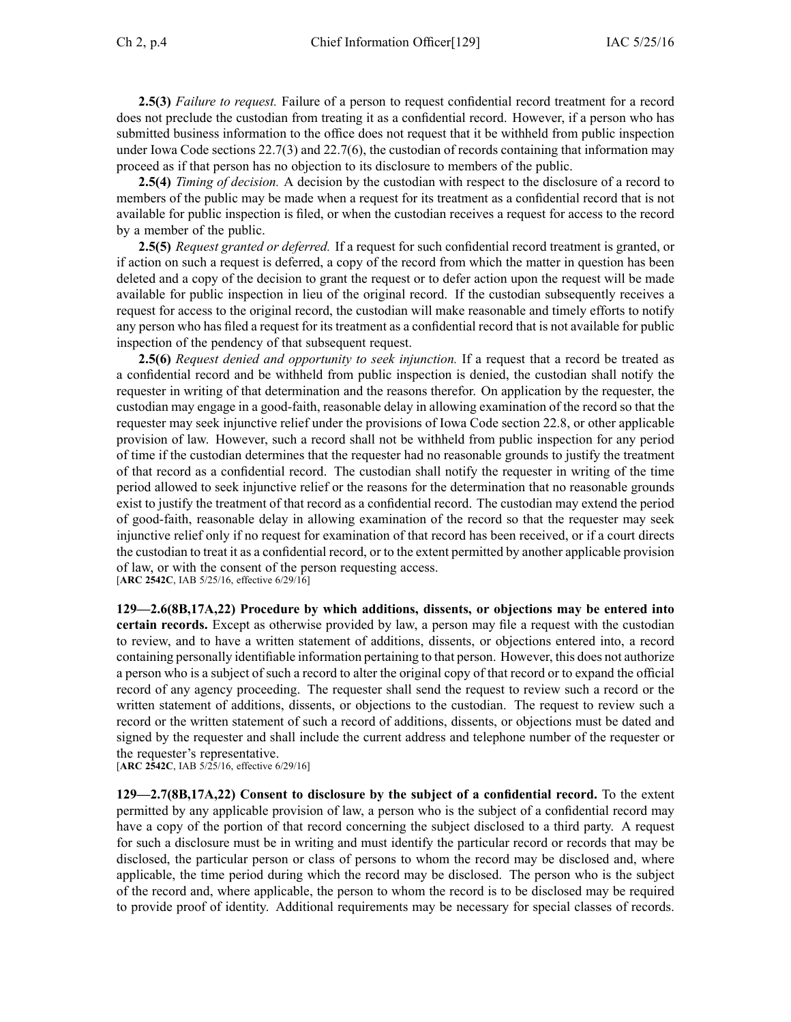**2.5(3)** *Failure to request.* Failure of <sup>a</sup> person to reques<sup>t</sup> confidential record treatment for <sup>a</sup> record does not preclude the custodian from treating it as <sup>a</sup> confidential record. However, if <sup>a</sup> person who has submitted business information to the office does not reques<sup>t</sup> that it be withheld from public inspection under Iowa Code sections [22.7\(3\)](https://www.legis.iowa.gov/docs/ico/section/22.7.pdf) and [22.7\(6\)](https://www.legis.iowa.gov/docs/ico/section/22.7.pdf), the custodian of records containing that information may proceed as if that person has no objection to its disclosure to members of the public.

**2.5(4)** *Timing of decision.* A decision by the custodian with respec<sup>t</sup> to the disclosure of <sup>a</sup> record to members of the public may be made when <sup>a</sup> reques<sup>t</sup> for its treatment as <sup>a</sup> confidential record that is not available for public inspection is filed, or when the custodian receives <sup>a</sup> reques<sup>t</sup> for access to the record by <sup>a</sup> member of the public.

**2.5(5)** *Request granted or deferred.* If <sup>a</sup> reques<sup>t</sup> for such confidential record treatment is granted, or if action on such <sup>a</sup> reques<sup>t</sup> is deferred, <sup>a</sup> copy of the record from which the matter in question has been deleted and <sup>a</sup> copy of the decision to gran<sup>t</sup> the reques<sup>t</sup> or to defer action upon the reques<sup>t</sup> will be made available for public inspection in lieu of the original record. If the custodian subsequently receives <sup>a</sup> reques<sup>t</sup> for access to the original record, the custodian will make reasonable and timely efforts to notify any person who has filed <sup>a</sup> reques<sup>t</sup> for its treatment as <sup>a</sup> confidential record that is not available for public inspection of the pendency of that subsequent request.

**2.5(6)** *Request denied and opportunity to seek injunction.* If <sup>a</sup> reques<sup>t</sup> that <sup>a</sup> record be treated as <sup>a</sup> confidential record and be withheld from public inspection is denied, the custodian shall notify the requester in writing of that determination and the reasons therefor. On application by the requester, the custodian may engage in <sup>a</sup> good-faith, reasonable delay in allowing examination of the record so that the requester may seek injunctive relief under the provisions of Iowa Code section [22.8](https://www.legis.iowa.gov/docs/ico/section/22.8.pdf), or other applicable provision of law. However, such <sup>a</sup> record shall not be withheld from public inspection for any period of time if the custodian determines that the requester had no reasonable grounds to justify the treatment of that record as <sup>a</sup> confidential record. The custodian shall notify the requester in writing of the time period allowed to seek injunctive relief or the reasons for the determination that no reasonable grounds exist to justify the treatment of that record as <sup>a</sup> confidential record. The custodian may extend the period of good-faith, reasonable delay in allowing examination of the record so that the requester may seek injunctive relief only if no reques<sup>t</sup> for examination of that record has been received, or if <sup>a</sup> court directs the custodian to treat it as <sup>a</sup> confidential record, or to the extent permitted by another applicable provision of law, or with the consent of the person requesting access.

[**ARC 2542C**, IAB 5/25/16, effective 6/29/16]

**129—2.6(8B,17A,22) Procedure by which additions, dissents, or objections may be entered into certain records.** Except as otherwise provided by law, <sup>a</sup> person may file <sup>a</sup> reques<sup>t</sup> with the custodian to review, and to have <sup>a</sup> written statement of additions, dissents, or objections entered into, <sup>a</sup> record containing personally identifiable information pertaining to that person. However, this does not authorize <sup>a</sup> person who is <sup>a</sup> subject of such <sup>a</sup> record to alter the original copy of that record or to expand the official record of any agency proceeding. The requester shall send the reques<sup>t</sup> to review such <sup>a</sup> record or the written statement of additions, dissents, or objections to the custodian. The reques<sup>t</sup> to review such <sup>a</sup> record or the written statement of such <sup>a</sup> record of additions, dissents, or objections must be dated and signed by the requester and shall include the current address and telephone number of the requester or the requester's representative.

[**ARC 2542C**, IAB 5/25/16, effective 6/29/16]

**129—2.7(8B,17A,22) Consent to disclosure by the subject of <sup>a</sup> confidential record.** To the extent permitted by any applicable provision of law, <sup>a</sup> person who is the subject of <sup>a</sup> confidential record may have <sup>a</sup> copy of the portion of that record concerning the subject disclosed to <sup>a</sup> third party. A reques<sup>t</sup> for such <sup>a</sup> disclosure must be in writing and must identify the particular record or records that may be disclosed, the particular person or class of persons to whom the record may be disclosed and, where applicable, the time period during which the record may be disclosed. The person who is the subject of the record and, where applicable, the person to whom the record is to be disclosed may be required to provide proof of identity. Additional requirements may be necessary for special classes of records.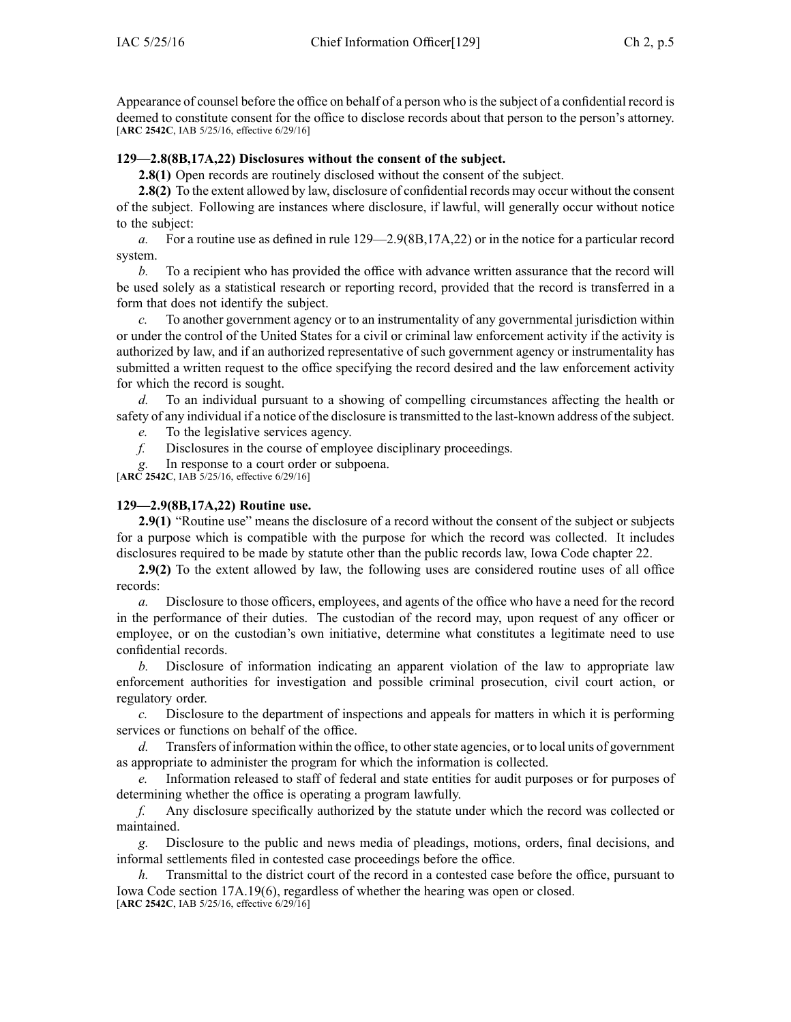Appearance of counsel before the office on behalf of <sup>a</sup> person who isthe subject of <sup>a</sup> confidential record is deemed to constitute consent for the office to disclose records about that person to the person's attorney. [**ARC 2542C**, IAB 5/25/16, effective 6/29/16]

## **129—2.8(8B,17A,22) Disclosures without the consent of the subject.**

**2.8(1)** Open records are routinely disclosed without the consent of the subject.

**2.8(2)** To the extent allowed by law, disclosure of confidential records may occur without the consent of the subject. Following are instances where disclosure, if lawful, will generally occur without notice to the subject:

*a.* For <sup>a</sup> routine use as defined in rule 129—2.9(8B,17A,22) or in the notice for <sup>a</sup> particular record system.

*b.* To <sup>a</sup> recipient who has provided the office with advance written assurance that the record will be used solely as <sup>a</sup> statistical research or reporting record, provided that the record is transferred in <sup>a</sup> form that does not identify the subject.

*c.* To another governmen<sup>t</sup> agency or to an instrumentality of any governmental jurisdiction within or under the control of the United States for <sup>a</sup> civil or criminal law enforcement activity if the activity is authorized by law, and if an authorized representative of such governmen<sup>t</sup> agency or instrumentality has submitted <sup>a</sup> written reques<sup>t</sup> to the office specifying the record desired and the law enforcement activity for which the record is sought.

*d.* To an individual pursuan<sup>t</sup> to <sup>a</sup> showing of compelling circumstances affecting the health or safety of any individual if <sup>a</sup> notice of the disclosure istransmitted to the last-known address of the subject.

*e.* To the legislative services agency.

*f.* Disclosures in the course of employee disciplinary proceedings.

*g.* In response to <sup>a</sup> court order or subpoena.

[**ARC 2542C**, IAB 5/25/16, effective 6/29/16]

### **129—2.9(8B,17A,22) Routine use.**

**2.9(1)** "Routine use" means the disclosure of <sup>a</sup> record without the consent of the subject or subjects for <sup>a</sup> purpose which is compatible with the purpose for which the record was collected. It includes disclosures required to be made by statute other than the public records law, Iowa Code chapter 22.

**2.9(2)** To the extent allowed by law, the following uses are considered routine uses of all office records:

*a.* Disclosure to those officers, employees, and agents of the office who have <sup>a</sup> need for the record in the performance of their duties. The custodian of the record may, upon reques<sup>t</sup> of any officer or employee, or on the custodian's own initiative, determine what constitutes <sup>a</sup> legitimate need to use confidential records.

*b.* Disclosure of information indicating an apparen<sup>t</sup> violation of the law to appropriate law enforcement authorities for investigation and possible criminal prosecution, civil court action, or regulatory order.

*c.* Disclosure to the department of inspections and appeals for matters in which it is performing services or functions on behalf of the office.

*d.* Transfers of information within the office, to other state agencies, or to local units of government as appropriate to administer the program for which the information is collected.

*e.* Information released to staff of federal and state entities for audit purposes or for purposes of determining whether the office is operating <sup>a</sup> program lawfully.

*f.* Any disclosure specifically authorized by the statute under which the record was collected or maintained.

*g.* Disclosure to the public and news media of pleadings, motions, orders, final decisions, and informal settlements filed in contested case proceedings before the office.

*h.* Transmittal to the district court of the record in <sup>a</sup> contested case before the office, pursuan<sup>t</sup> to Iowa Code section [17A.19\(6\)](https://www.legis.iowa.gov/docs/ico/section/17A.19.pdf), regardless of whether the hearing was open or closed. [**ARC 2542C**, IAB 5/25/16, effective 6/29/16]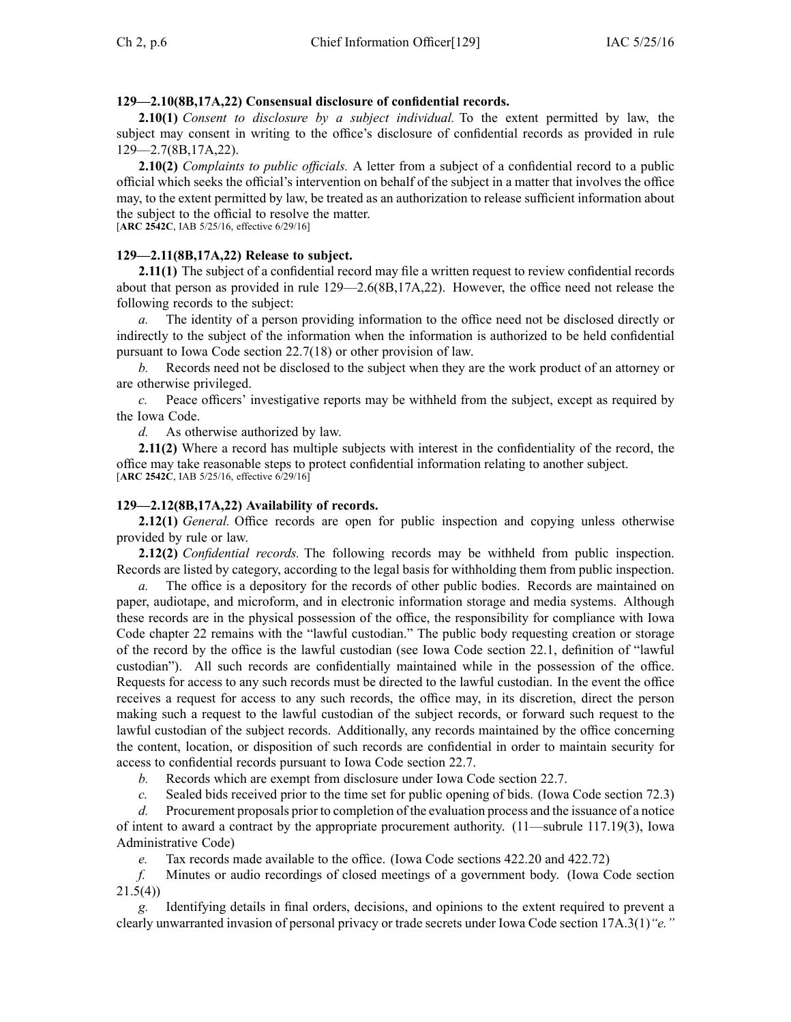## **129—2.10(8B,17A,22) Consensual disclosure of confidential records.**

**2.10(1)** *Consent to disclosure by <sup>a</sup> subject individual.* To the extent permitted by law, the subject may consent in writing to the office's disclosure of confidential records as provided in rule 129—2.7(8B,17A,22).

**2.10(2)** *Complaints to public officials.* A letter from <sup>a</sup> subject of <sup>a</sup> confidential record to <sup>a</sup> public official which seeks the official's intervention on behalf of the subject in <sup>a</sup> matter that involves the office may, to the extent permitted by law, be treated as an authorization to release sufficient information about the subject to the official to resolve the matter.

[**ARC 2542C**, IAB 5/25/16, effective 6/29/16]

## **129—2.11(8B,17A,22) Release to subject.**

**2.11(1)** The subject of a confidential record may file a written request to review confidential records about that person as provided in rule 129—2.6(8B,17A,22). However, the office need not release the following records to the subject:

*a.* The identity of <sup>a</sup> person providing information to the office need not be disclosed directly or indirectly to the subject of the information when the information is authorized to be held confidential pursuan<sup>t</sup> to Iowa Code section [22.7\(18\)](https://www.legis.iowa.gov/docs/ico/section/22.7.pdf) or other provision of law.

*b.* Records need not be disclosed to the subject when they are the work product of an attorney or are otherwise privileged.

*c.* Peace officers' investigative reports may be withheld from the subject, excep<sup>t</sup> as required by the Iowa Code.

*d.* As otherwise authorized by law.

**2.11(2)** Where <sup>a</sup> record has multiple subjects with interest in the confidentiality of the record, the office may take reasonable steps to protect confidential information relating to another subject. [**ARC 2542C**, IAB 5/25/16, effective 6/29/16]

#### **129—2.12(8B,17A,22) Availability of records.**

**2.12(1)** *General.* Office records are open for public inspection and copying unless otherwise provided by rule or law.

**2.12(2)** *Confidential records.* The following records may be withheld from public inspection. Records are listed by category, according to the legal basis for withholding them from public inspection.

The office is a depository for the records of other public bodies. Records are maintained on paper, audiotape, and microform, and in electronic information storage and media systems. Although these records are in the physical possession of the office, the responsibility for compliance with Iowa Code chapter [22](https://www.legis.iowa.gov/docs/ico/chapter/22.pdf) remains with the "lawful custodian." The public body requesting creation or storage of the record by the office is the lawful custodian (see Iowa Code section [22.1](https://www.legis.iowa.gov/docs/ico/section/22.1.pdf), definition of "lawful custodian"). All such records are confidentially maintained while in the possession of the office. Requests for access to any such records must be directed to the lawful custodian. In the event the office receives <sup>a</sup> reques<sup>t</sup> for access to any such records, the office may, in its discretion, direct the person making such <sup>a</sup> reques<sup>t</sup> to the lawful custodian of the subject records, or forward such reques<sup>t</sup> to the lawful custodian of the subject records. Additionally, any records maintained by the office concerning the content, location, or disposition of such records are confidential in order to maintain security for access to confidential records pursuan<sup>t</sup> to Iowa Code section [22.7](https://www.legis.iowa.gov/docs/ico/section/22.7.pdf).

*b.* Records which are exemp<sup>t</sup> from disclosure under Iowa Code section [22.7](https://www.legis.iowa.gov/docs/ico/section/22.7.pdf).

*c.* Sealed bids received prior to the time set for public opening of bids. (Iowa Code section [72.3\)](https://www.legis.iowa.gov/docs/ico/section/72.3.pdf)

*d.* Procurement proposals prior to completion of the evaluation process and the issuance of <sup>a</sup> notice of intent to award <sup>a</sup> contract by the appropriate procuremen<sup>t</sup> authority. (11—subrule 117.19(3), Iowa Administrative Code)

*e.* Tax records made available to the office. (Iowa Code sections [422.20](https://www.legis.iowa.gov/docs/ico/section/422.20.pdf) and [422.72\)](https://www.legis.iowa.gov/docs/ico/section/422.72.pdf)

*f.* Minutes or audio recordings of closed meetings of <sup>a</sup> governmen<sup>t</sup> body. (Iowa Code section [21.5\(4\)](https://www.legis.iowa.gov/docs/ico/section/21.5.pdf))

*g.* Identifying details in final orders, decisions, and opinions to the extent required to preven<sup>t</sup> <sup>a</sup> clearly unwarranted invasion of personal privacy or trade secrets under Iowa Code section [17A.3\(1\)](https://www.legis.iowa.gov/docs/ico/section/17A.3.pdf)*"e."*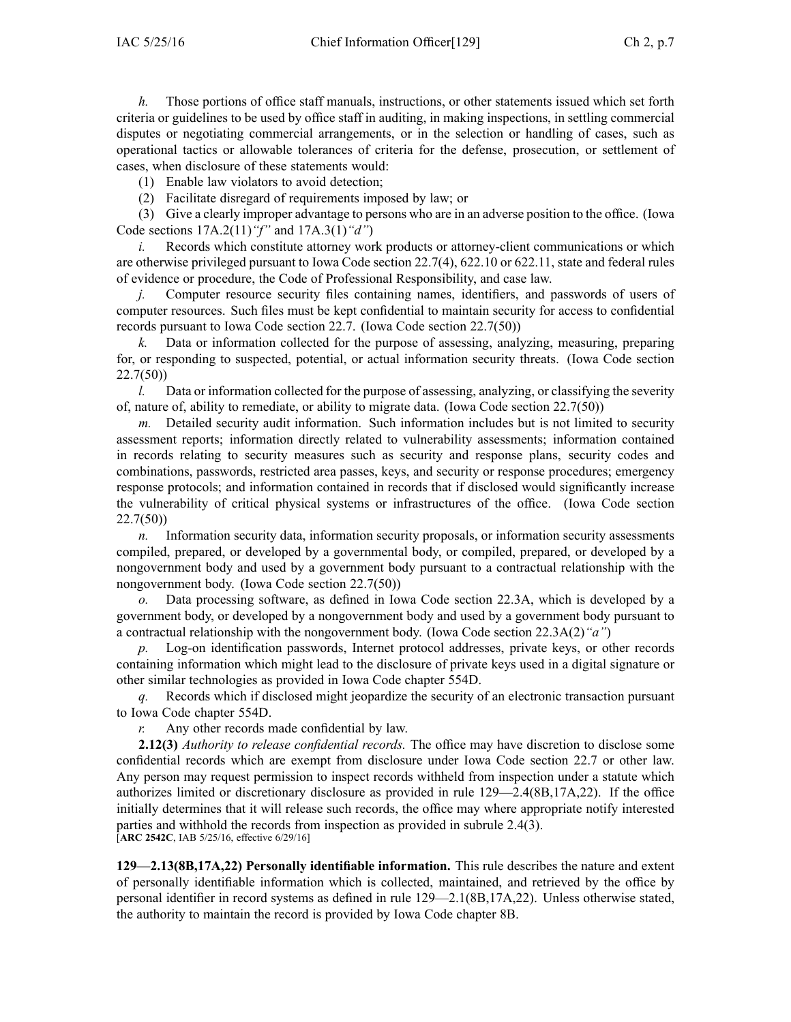*h.* Those portions of office staff manuals, instructions, or other statements issued which set forth criteria or guidelines to be used by office staff in auditing, in making inspections, in settling commercial disputes or negotiating commercial arrangements, or in the selection or handling of cases, such as operational tactics or allowable tolerances of criteria for the defense, prosecution, or settlement of cases, when disclosure of these statements would:

(1) Enable law violators to avoid detection;

(2) Facilitate disregard of requirements imposed by law; or

(3) Give <sup>a</sup> clearly improper advantage to persons who are in an adverse position to the office. (Iowa Code sections [17A.2\(11\)](https://www.legis.iowa.gov/docs/ico/section/17A.2.pdf)*"f"* and [17A.3\(1\)](https://www.legis.iowa.gov/docs/ico/section/17A.3.pdf)*"d"*)

*i.* Records which constitute attorney work products or attorney-client communications or which are otherwise privileged pursuan<sup>t</sup> to Iowa Code section [22.7\(4\)](https://www.legis.iowa.gov/docs/ico/section/22.7.pdf), [622.10](https://www.legis.iowa.gov/docs/ico/section/622.10.pdf) or [622.11](https://www.legis.iowa.gov/docs/ico/section/622.11.pdf), state and federal rules of evidence or procedure, the Code of Professional Responsibility, and case law.

*j.* Computer resource security files containing names, identifiers, and passwords of users of computer resources. Such files must be kept confidential to maintain security for access to confidential records pursuan<sup>t</sup> to Iowa Code section [22.7](https://www.legis.iowa.gov/docs/ico/section/22.7.pdf). (Iowa Code section [22.7\(50\)](https://www.legis.iowa.gov/docs/ico/section/22.7.pdf))

*k.* Data or information collected for the purpose of assessing, analyzing, measuring, preparing for, or responding to suspected, potential, or actual information security threats. (Iowa Code section [22.7\(50\)](https://www.legis.iowa.gov/docs/ico/section/22.7.pdf))

*l.* Data or information collected for the purpose of assessing, analyzing, or classifying the severity of, nature of, ability to remediate, or ability to migrate data. (Iowa Code section [22.7\(50\)](https://www.legis.iowa.gov/docs/ico/section/22.7.pdf))

*m.* Detailed security audit information. Such information includes but is not limited to security assessment reports; information directly related to vulnerability assessments; information contained in records relating to security measures such as security and response plans, security codes and combinations, passwords, restricted area passes, keys, and security or response procedures; emergency response protocols; and information contained in records that if disclosed would significantly increase the vulnerability of critical physical systems or infrastructures of the office. (Iowa Code section [22.7\(50\)](https://www.legis.iowa.gov/docs/ico/section/22.7.pdf))

*n.* Information security data, information security proposals, or information security assessments compiled, prepared, or developed by <sup>a</sup> governmental body, or compiled, prepared, or developed by <sup>a</sup> nongovernmen<sup>t</sup> body and used by <sup>a</sup> governmen<sup>t</sup> body pursuan<sup>t</sup> to <sup>a</sup> contractual relationship with the nongovernmen<sup>t</sup> body. (Iowa Code section [22.7\(50\)](https://www.legis.iowa.gov/docs/ico/section/22.7.pdf))

*o.* Data processing software, as defined in Iowa Code section [22.3A](https://www.legis.iowa.gov/docs/ico/section/22.3A.pdf), which is developed by <sup>a</sup> governmen<sup>t</sup> body, or developed by <sup>a</sup> nongovernmen<sup>t</sup> body and used by <sup>a</sup> governmen<sup>t</sup> body pursuan<sup>t</sup> to <sup>a</sup> contractual relationship with the nongovernmen<sup>t</sup> body. (Iowa Code section [22.3A\(2\)](https://www.legis.iowa.gov/docs/ico/section/22.3A.pdf)*"a"*)

*p.* Log-on identification passwords, Internet protocol addresses, private keys, or other records containing information which might lead to the disclosure of private keys used in <sup>a</sup> digital signature or other similar technologies as provided in Iowa Code chapter [554D](https://www.legis.iowa.gov/docs/ico/chapter/554D.pdf).

*q.* Records which if disclosed might jeopardize the security of an electronic transaction pursuan<sup>t</sup> to Iowa Code chapter [554D](https://www.legis.iowa.gov/docs/ico/chapter/554D.pdf).

*r.* Any other records made confidential by law.

**2.12(3)** *Authority to release confidential records.* The office may have discretion to disclose some confidential records which are exemp<sup>t</sup> from disclosure under Iowa Code section [22.7](https://www.legis.iowa.gov/docs/ico/section/22.7.pdf) or other law. Any person may reques<sup>t</sup> permission to inspect records withheld from inspection under <sup>a</sup> statute which authorizes limited or discretionary disclosure as provided in rule 129—2.4(8B,17A,22). If the office initially determines that it will release such records, the office may where appropriate notify interested parties and withhold the records from inspection as provided in subrule 2.4(3). [**ARC 2542C**, IAB 5/25/16, effective 6/29/16]

**129—2.13(8B,17A,22) Personally identifiable information.** This rule describes the nature and extent of personally identifiable information which is collected, maintained, and retrieved by the office by personal identifier in record systems as defined in rule 129—2.1(8B,17A,22). Unless otherwise stated, the authority to maintain the record is provided by Iowa Code chapter [8B](https://www.legis.iowa.gov/docs/ico/chapter/8B.pdf).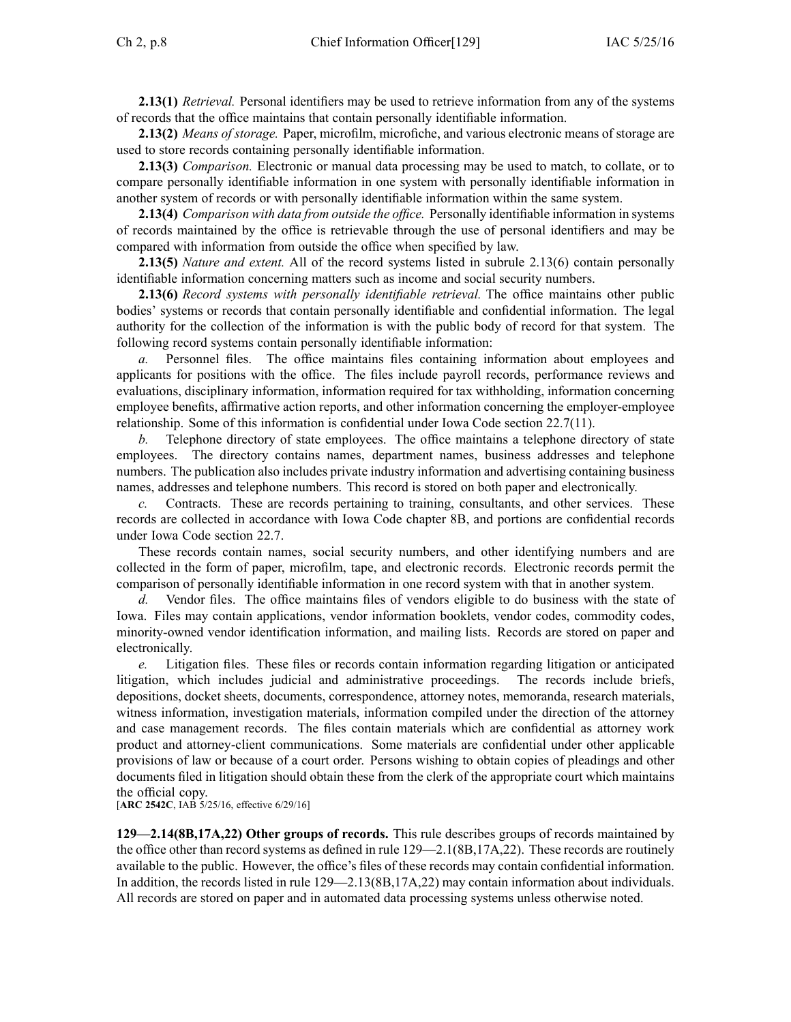**2.13(1)** *Retrieval.* Personal identifiers may be used to retrieve information from any of the systems of records that the office maintains that contain personally identifiable information.

**2.13(2)** *Means of storage.* Paper, microfilm, microfiche, and various electronic means of storage are used to store records containing personally identifiable information.

**2.13(3)** *Comparison.* Electronic or manual data processing may be used to match, to collate, or to compare personally identifiable information in one system with personally identifiable information in another system of records or with personally identifiable information within the same system.

**2.13(4)** *Comparison with data from outside the office.* Personally identifiable information in systems of records maintained by the office is retrievable through the use of personal identifiers and may be compared with information from outside the office when specified by law.

**2.13(5)** *Nature and extent.* All of the record systems listed in subrule 2.13(6) contain personally identifiable information concerning matters such as income and social security numbers.

**2.13(6)** *Record systems with personally identifiable retrieval.* The office maintains other public bodies' systems or records that contain personally identifiable and confidential information. The legal authority for the collection of the information is with the public body of record for that system. The following record systems contain personally identifiable information:

*a.* Personnel files. The office maintains files containing information about employees and applicants for positions with the office. The files include payroll records, performance reviews and evaluations, disciplinary information, information required for tax withholding, information concerning employee benefits, affirmative action reports, and other information concerning the employer-employee relationship. Some of this information is confidential under Iowa Code section [22.7\(11\)](https://www.legis.iowa.gov/docs/ico/section/22.7.pdf).

*b.* Telephone directory of state employees. The office maintains <sup>a</sup> telephone directory of state employees. The directory contains names, department names, business addresses and telephone numbers. The publication also includes private industry information and advertising containing business names, addresses and telephone numbers. This record is stored on both paper and electronically.

*c.* Contracts. These are records pertaining to training, consultants, and other services. These records are collected in accordance with Iowa Code chapter [8B](https://www.legis.iowa.gov/docs/ico/chapter/8B.pdf), and portions are confidential records under Iowa Code section [22.7](https://www.legis.iowa.gov/docs/ico/section/22.7.pdf).

These records contain names, social security numbers, and other identifying numbers and are collected in the form of paper, microfilm, tape, and electronic records. Electronic records permit the comparison of personally identifiable information in one record system with that in another system.

*d.* Vendor files. The office maintains files of vendors eligible to do business with the state of Iowa. Files may contain applications, vendor information booklets, vendor codes, commodity codes, minority-owned vendor identification information, and mailing lists. Records are stored on paper and electronically.

*e.* Litigation files. These files or records contain information regarding litigation or anticipated litigation, which includes judicial and administrative proceedings. The records include briefs, depositions, docket sheets, documents, correspondence, attorney notes, memoranda, research materials, witness information, investigation materials, information compiled under the direction of the attorney and case managemen<sup>t</sup> records. The files contain materials which are confidential as attorney work product and attorney-client communications. Some materials are confidential under other applicable provisions of law or because of <sup>a</sup> court order. Persons wishing to obtain copies of pleadings and other documents filed in litigation should obtain these from the clerk of the appropriate court which maintains the official copy.

[**ARC 2542C**, IAB 5/25/16, effective 6/29/16]

**129—2.14(8B,17A,22) Other groups of records.** This rule describes groups of records maintained by the office other than record systems as defined in rule 129—2.1(8B,17A,22). These records are routinely available to the public. However, the office's files of these records may contain confidential information. In addition, the records listed in rule 129—2.13(8B,17A,22) may contain information about individuals. All records are stored on paper and in automated data processing systems unless otherwise noted.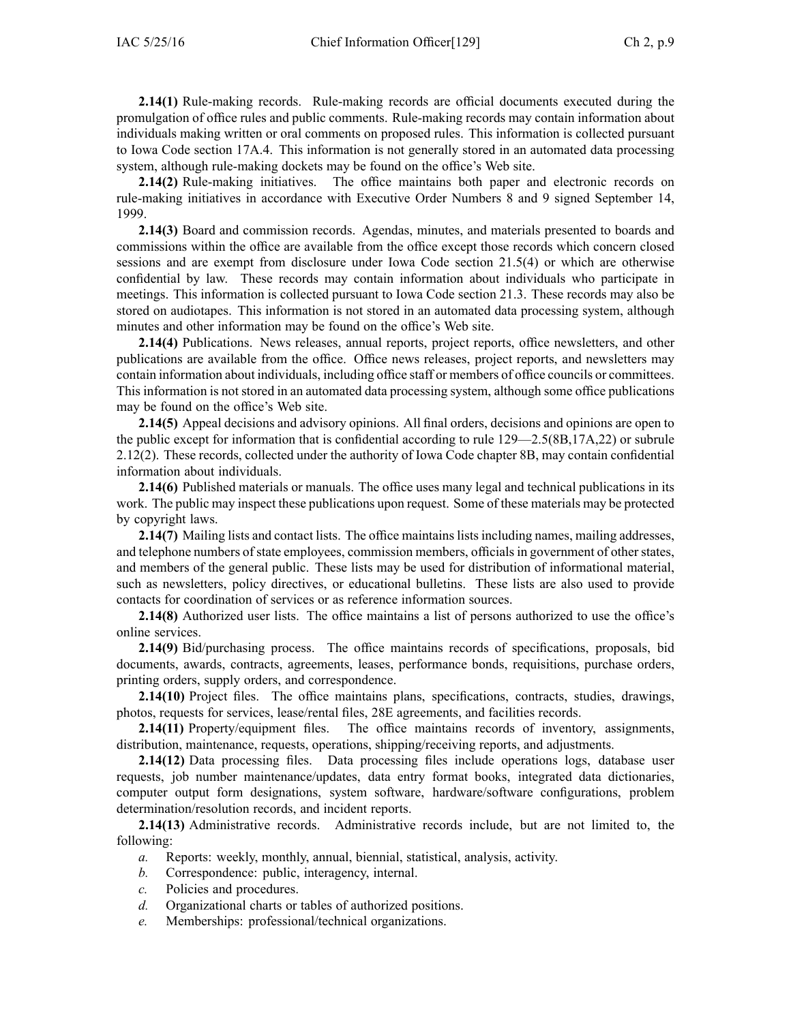**2.14(1)** Rule-making records. Rule-making records are official documents executed during the promulgation of office rules and public comments. Rule-making records may contain information about individuals making written or oral comments on proposed rules. This information is collected pursuan<sup>t</sup> to Iowa Code section [17A.4](https://www.legis.iowa.gov/docs/ico/section/17A.4.pdf). This information is not generally stored in an automated data processing system, although rule-making dockets may be found on the office's Web site.

**2.14(2)** Rule-making initiatives. The office maintains both paper and electronic records on rule-making initiatives in accordance with Executive Order Numbers 8 and 9 signed September 14, 1999.

**2.14(3)** Board and commission records. Agendas, minutes, and materials presented to boards and commissions within the office are available from the office excep<sup>t</sup> those records which concern closed sessions and are exemp<sup>t</sup> from disclosure under Iowa Code section [21.5\(4\)](https://www.legis.iowa.gov/docs/ico/section/21.5.pdf) or which are otherwise confidential by law. These records may contain information about individuals who participate in meetings. This information is collected pursuan<sup>t</sup> to Iowa Code section [21.3](https://www.legis.iowa.gov/docs/ico/section/21.3.pdf). These records may also be stored on audiotapes. This information is not stored in an automated data processing system, although minutes and other information may be found on the office's Web site.

**2.14(4)** Publications. News releases, annual reports, project reports, office newsletters, and other publications are available from the office. Office news releases, project reports, and newsletters may contain information about individuals, including office staff or members of office councils or committees. This information is not stored in an automated data processing system, although some office publications may be found on the office's Web site.

**2.14(5)** Appeal decisions and advisory opinions. All final orders, decisions and opinions are open to the public excep<sup>t</sup> for information that is confidential according to rule 129—2.5(8B,17A,22) or subrule 2.12(2). These records, collected under the authority of Iowa Code chapter 8B, may contain confidential information about individuals.

**2.14(6)** Published materials or manuals. The office uses many legal and technical publications in its work. The public may inspect these publications upon request. Some of these materials may be protected by copyright laws.

**2.14(7)** Mailing lists and contact lists. The office maintains lists including names, mailing addresses, and telephone numbers of state employees, commission members, officials in government of other states, and members of the general public. These lists may be used for distribution of informational material, such as newsletters, policy directives, or educational bulletins. These lists are also used to provide contacts for coordination of services or as reference information sources.

**2.14(8)** Authorized user lists. The office maintains <sup>a</sup> list of persons authorized to use the office's online services.

**2.14(9)** Bid/purchasing process. The office maintains records of specifications, proposals, bid documents, awards, contracts, agreements, leases, performance bonds, requisitions, purchase orders, printing orders, supply orders, and correspondence.

**2.14(10)** Project files. The office maintains plans, specifications, contracts, studies, drawings, photos, requests for services, lease/rental files, 28E agreements, and facilities records.

**2.14(11)** Property/equipment files. The office maintains records of inventory, assignments, distribution, maintenance, requests, operations, shipping/receiving reports, and adjustments.

**2.14(12)** Data processing files. Data processing files include operations logs, database user requests, job number maintenance/updates, data entry format books, integrated data dictionaries, computer output form designations, system software, hardware/software configurations, problem determination/resolution records, and incident reports.

**2.14(13)** Administrative records. Administrative records include, but are not limited to, the following:

- *a.* Reports: weekly, monthly, annual, biennial, statistical, analysis, activity.
- *b.* Correspondence: public, interagency, internal.
- *c.* Policies and procedures.
- *d.* Organizational charts or tables of authorized positions.
- *e.* Memberships: professional/technical organizations.